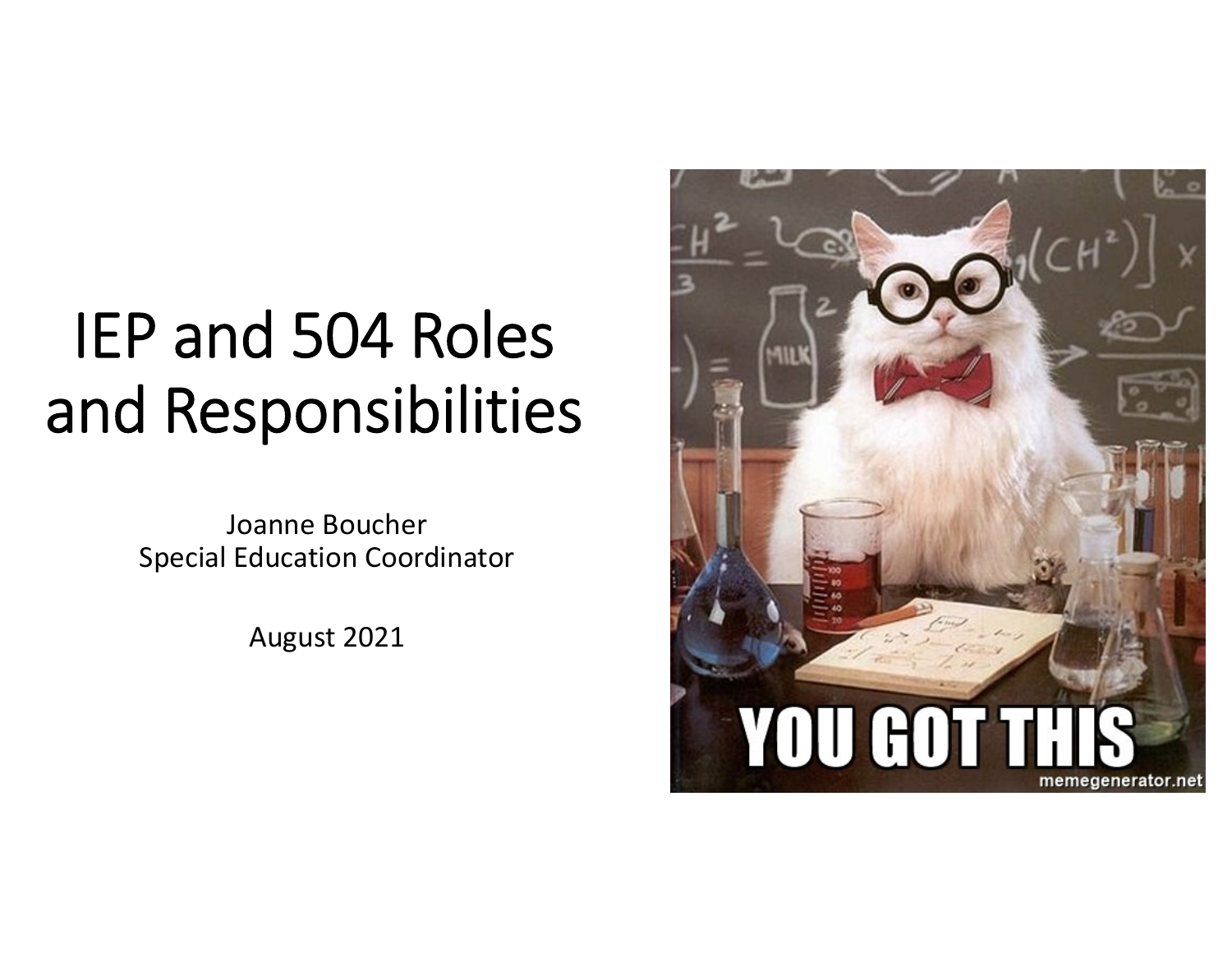# IEP and 504 Roles and Responsibilities

Joanne Boucher Special Education Coordinator

August 2021

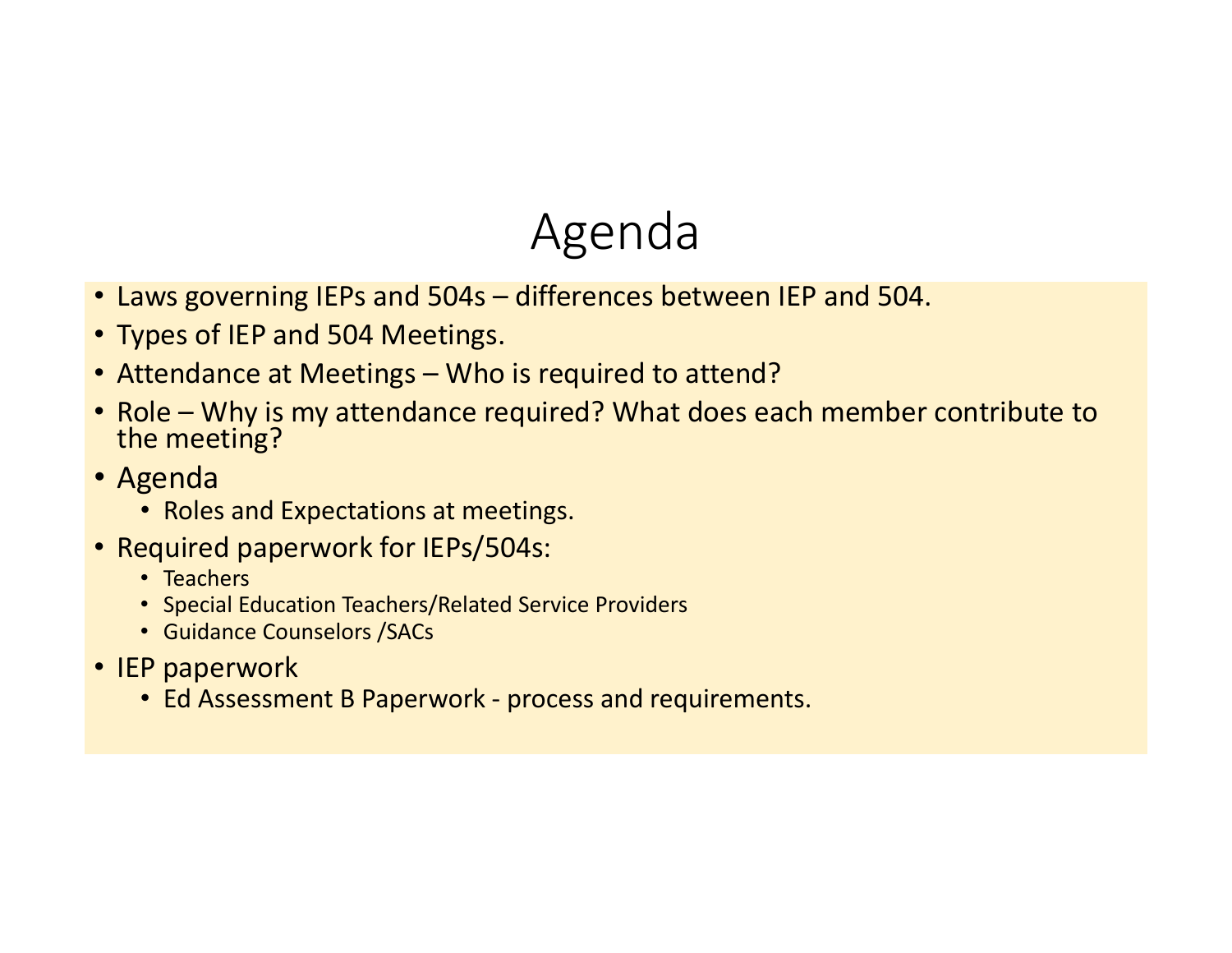# Agenda

- Laws governing IEPs and 504s differences between IEP and 504.
- Types of IEP and 504 Meetings.
- Attendance at Meetings Who is required to attend?
- Role Why is my attendance required? What does each member contribute to<br>the meeting? the meeting?
- Agenda
	- Roles and Expectations at meetings.
- Required paperwork for IEPs/504s:
	- Teachers
	- Special Education Teachers/Related Service Providers
	- Guidance Counselors /SACs
- IEP paperwork
	- Ed Assessment B Paperwork ‐ process and requirements.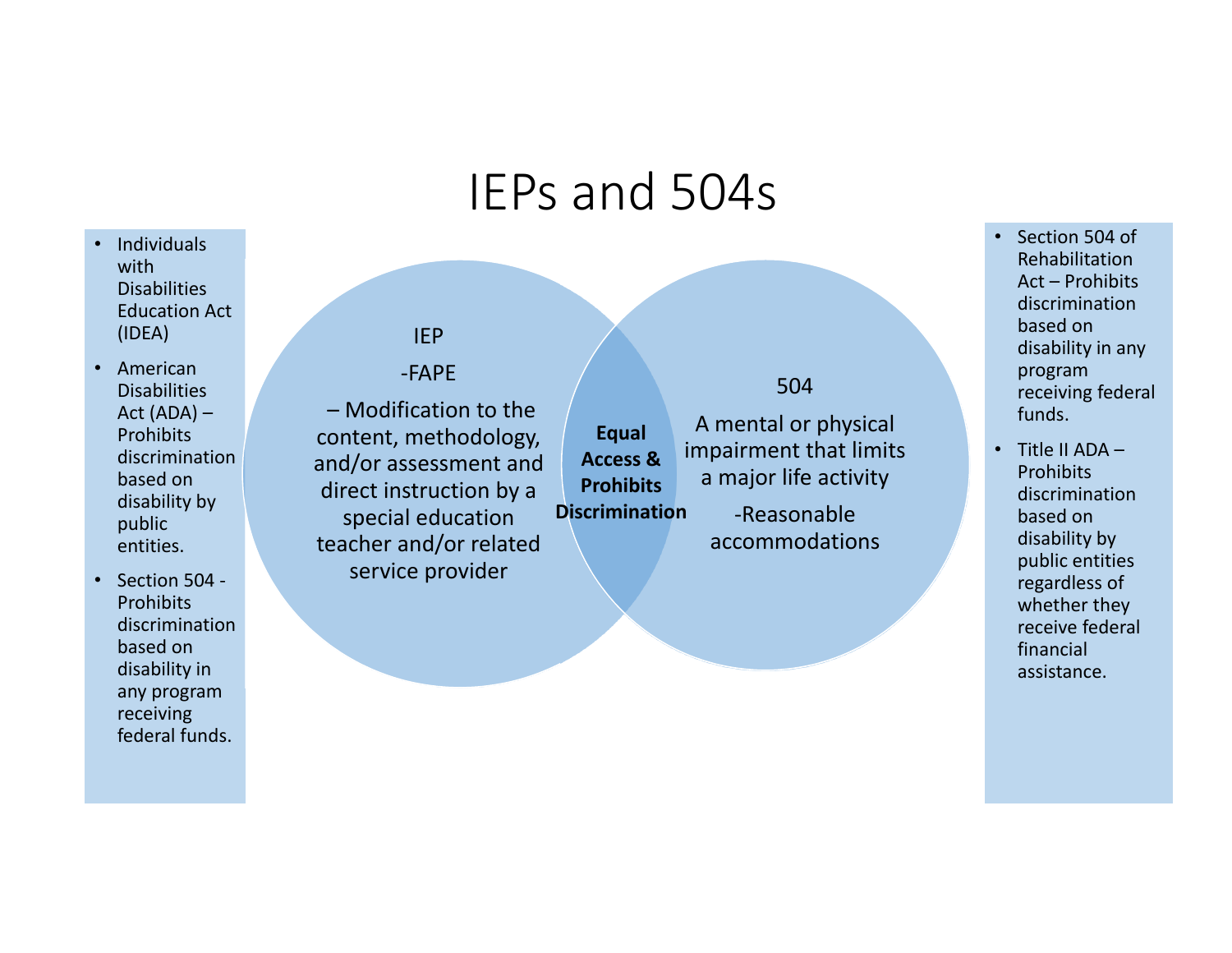## IEPs and 504s

- • IndividualswithDisabilitiesEducation Act (IDEA)
- American**Disabilities** Act (ADA) – **Prohibits** discriminationbased on disability by public entities.
- •• Section 504 -**Prohibits** discriminationbased on disability in any program receiving federal funds.

### IEP

‐FAPE

– Modification to the content, methodology, and/or assessment and direct instruction by <sup>a</sup> special education teacher and/or related service provider

A mental or physical impairment that limits **Equal Access &ProhibitsDiscrimination**

a major life activity ‐Reasonableaccommodations

504

• Section 504 of RehabilitationAct – Prohibitsdiscriminationbased on disability in any program receiving federal funds.

• Title II ADA – **Prohibits** discriminationbased on disability by public entities regardless of whether they receive federal financialassistance.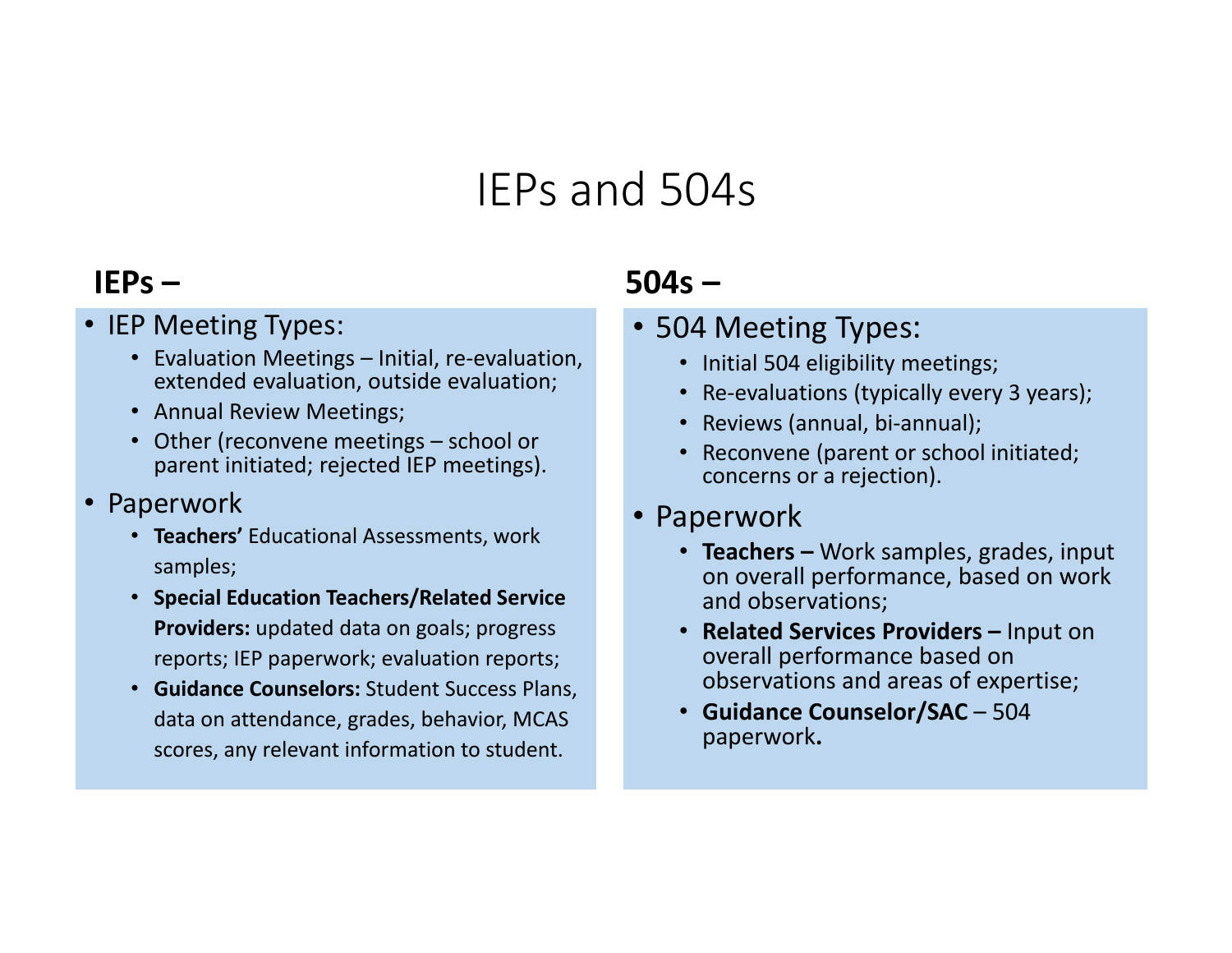### IEPs and 504s

### **IEPs–**

- IEP Meeting Types:
	- Evaluation Meetings Initial, re‐evaluation, extended evaluation, outside evaluation;
	- Annual Review Meetings;
	- Other (reconvene meetings school or parent initiated; rejected IEP meetings).

### • Paperwork

- **Teachers'** Educational Assessments, work samples;
- **Special Education Teachers/Related Service Providers:** updated data on goals; progress reports; IEP paperwork; evaluation reports;
- **Guidance Counselors:** Student Success Plans, data on attendance, grades, behavior, MCAS scores, any relevant information to student.

### **504s–**

- 504 Meeting Types:
	- Initial 504 eligibility meetings;
	- Re-evaluations (typically every 3 years);
	- Reviews (annual, bi‐annual);
	- Reconvene (parent or school initiated; concerns or a rejection).

#### •Paperwork

- **Teachers–** Work samples, grades, input on overall performance, based on work and observations;
- **Related Services Providers –** Input on overall performance based on observations and areas of expertise;
- **Guidance Counselor/SAC** 504 paperwork**.**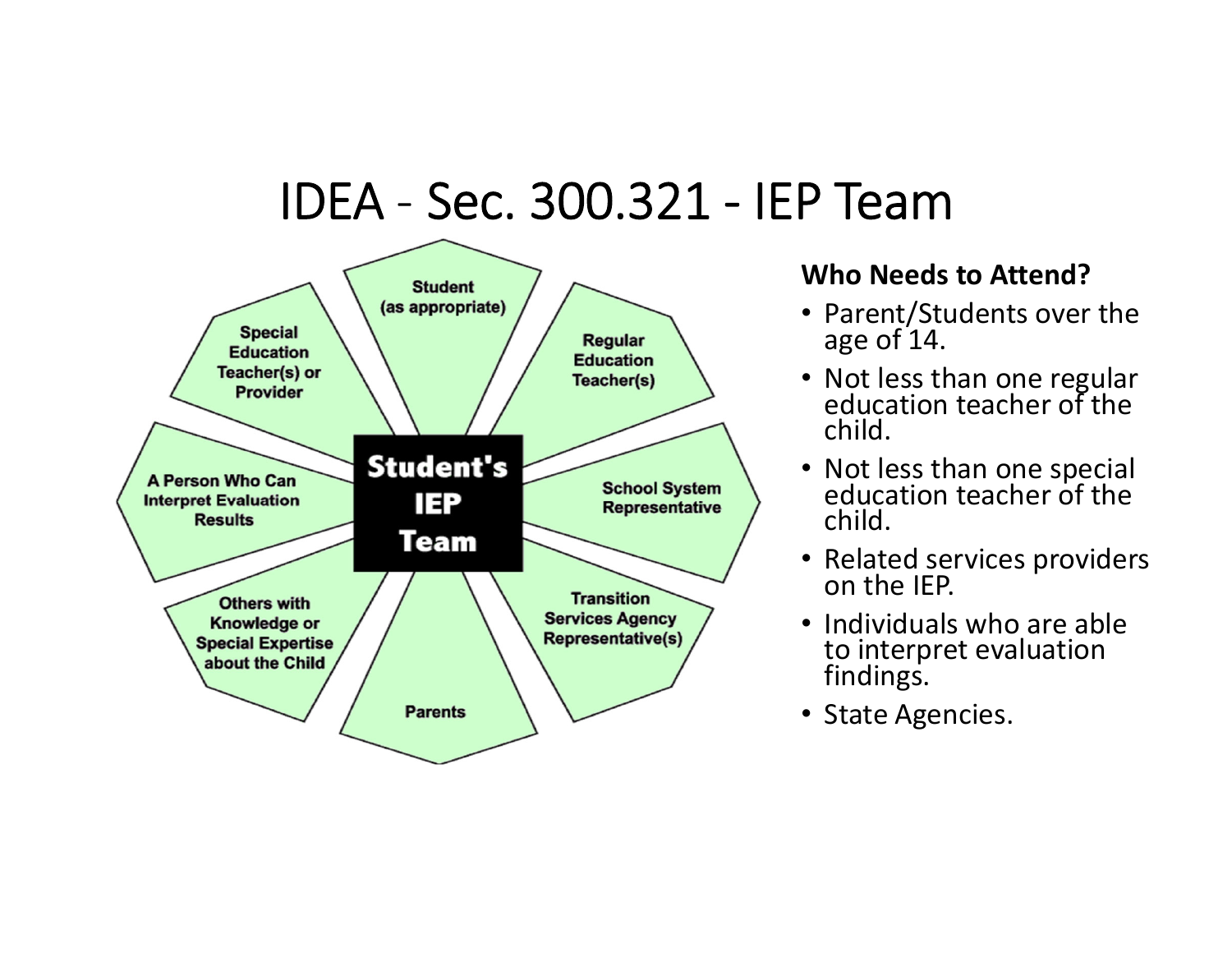# IDEA ‐ Sec. 300.321 ‐ IEP Team



### **Who Needs to Attend?**

- Parent/Students over the age of 14.
- Not less than one regular education teacher of the child.
- Not less than one special education teacher of the child.
- Related services providers on the IEP.
- Individuals who are able to interpret evaluation<br>findings.
- State Agencies.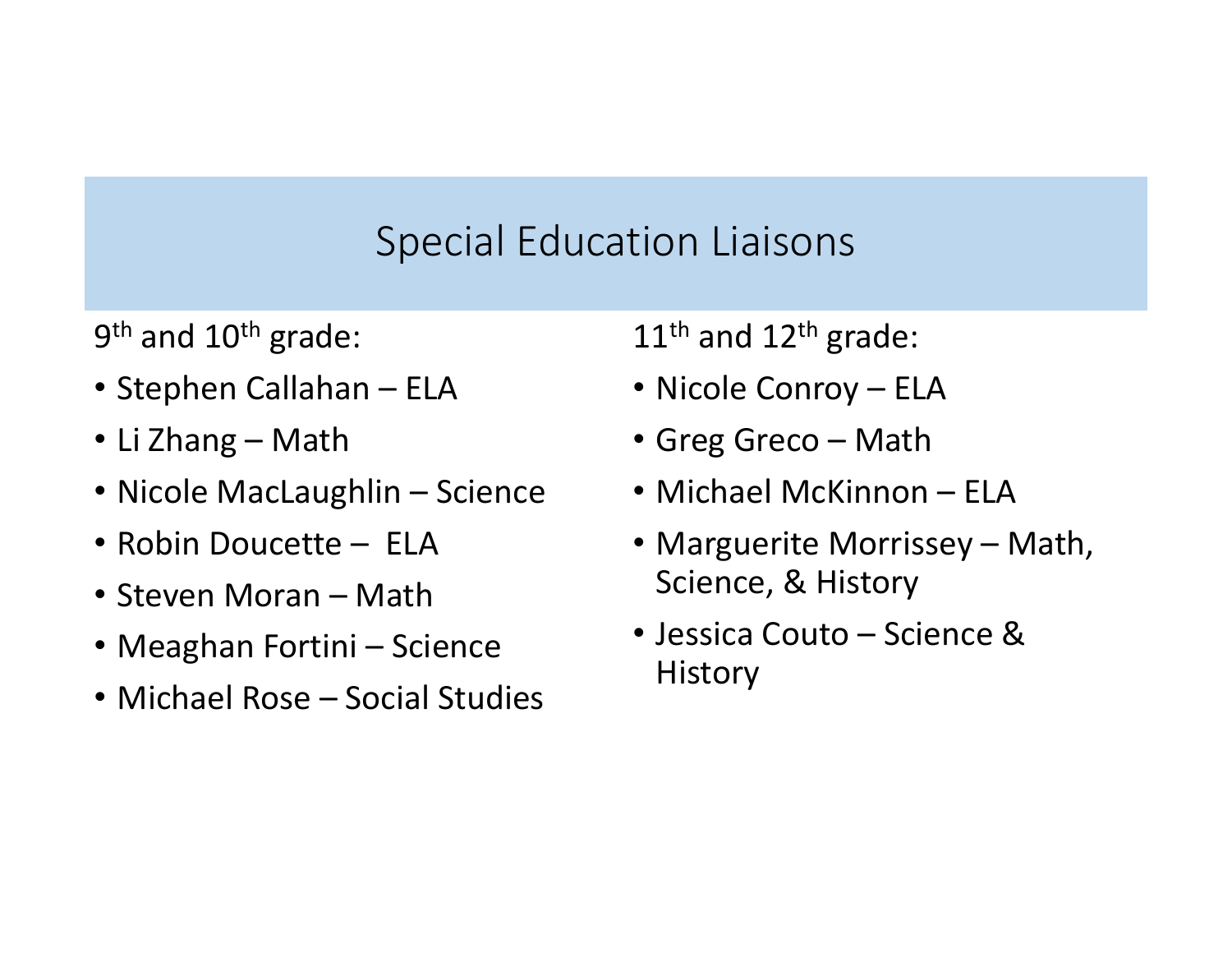### Special Education Liaisons

9<sup>th</sup> and 10<sup>th</sup> grade:

- Stephen Callahan ELA
- Li Zhang Math
- Nicole MacLaughlin Science
- Robin Doucette ELA
- Steven Moran Math
- Meaghan Fortini Science
- Michael Rose Social Studies

 $11^{\sf th}$  and  $12^{\sf th}$  grade:

- Nicole Conroy ELA
- Greg Greco Math
- Michael McKinnon ELA
- Marguerite Morrissey Math, Science, & History
- Jessica Couto Science &**History**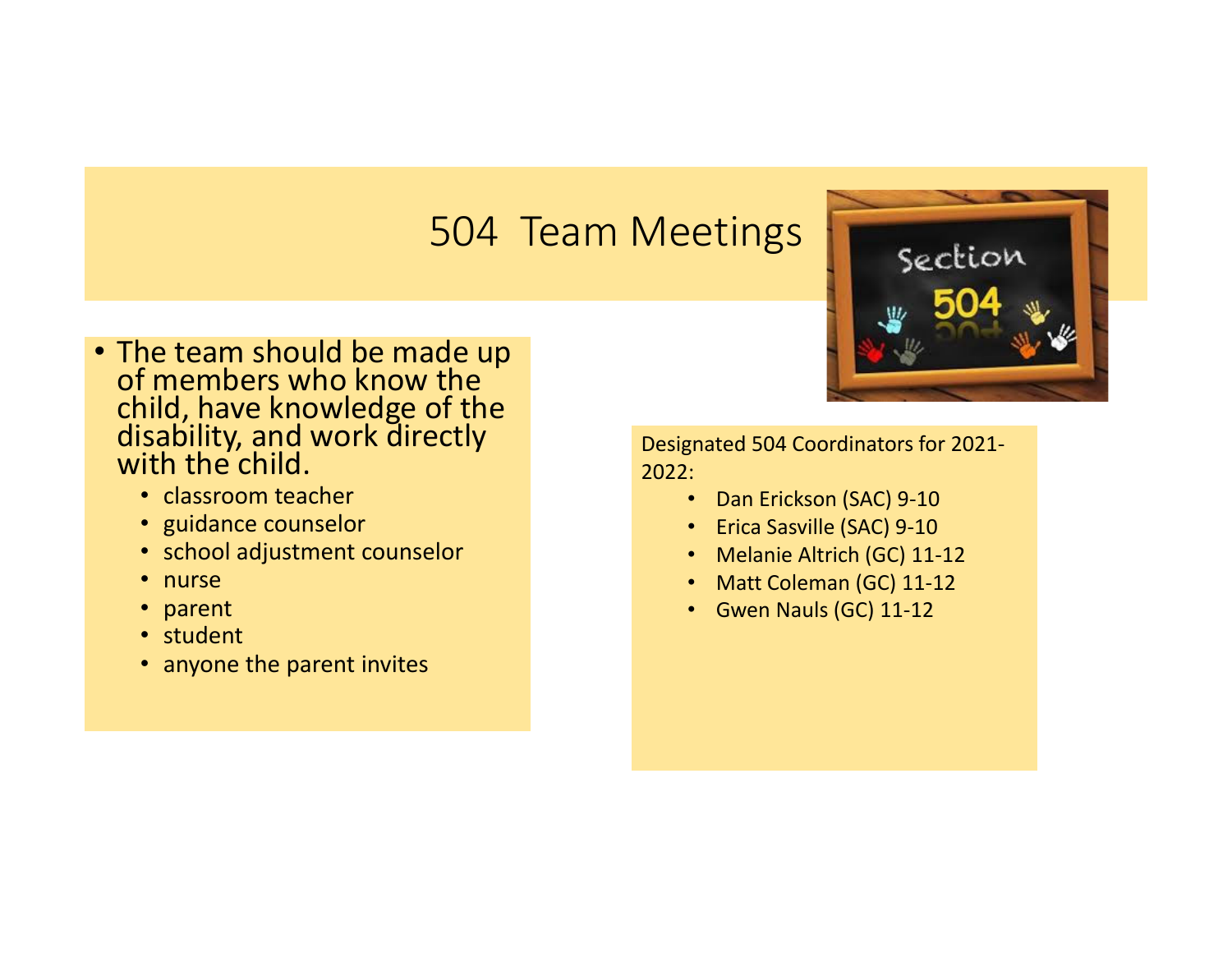### 504 Team Meetings

- The team should be made up of members who know the child, have knowledge of the<br>disability, and work directly<br>with the child.
	- classroom teacher
	- guidance counselor
	- school adjustment counselor
	- nurse
	- parent
	- student
	- anyone the parent invites

Designated 504 Coordinators for 2021‐ 2022:

Section

- •Dan Erickson (SAC) 9‐10
- •• Erica Sasville (SAC) 9-10
- Melanie Altrich (GC) 11‐12
- Matt Coleman (GC) 11-12
- Gwen Nauls (GC) 11‐12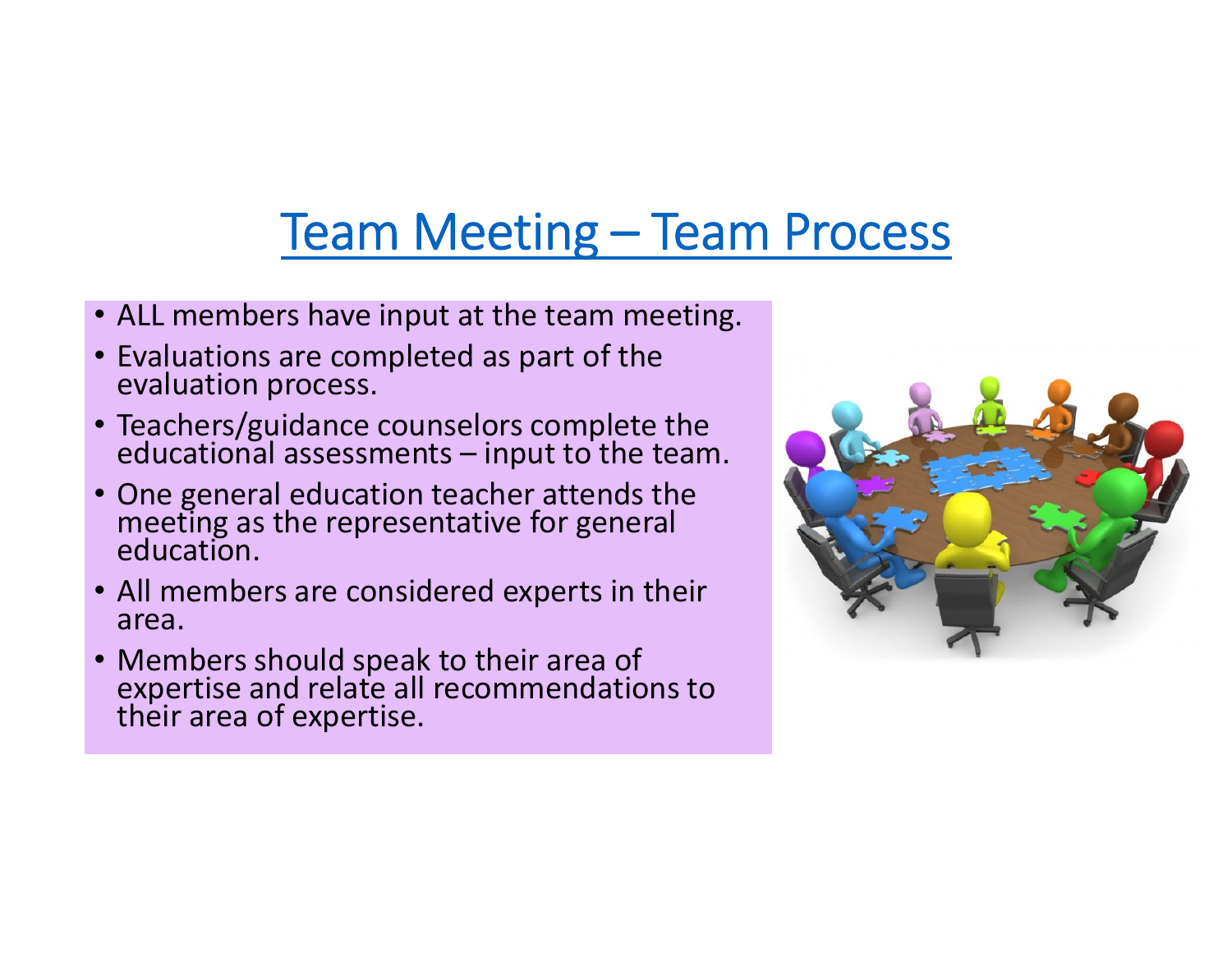# Team Meeting – Team Process

- ALL members have input at the team meeting.
- Evaluations are completed as part of the evaluationevaluation process.
- Teachers/guidance counselors complete the<br>educational assessments input to the tean assessments – input to the team.
- One general education teacher attends the meeting as the representative for general<br>education.
- All members are considered experts in their area.
- Members should speak to their area of expertise and relate all recommendations to r area of expertise.

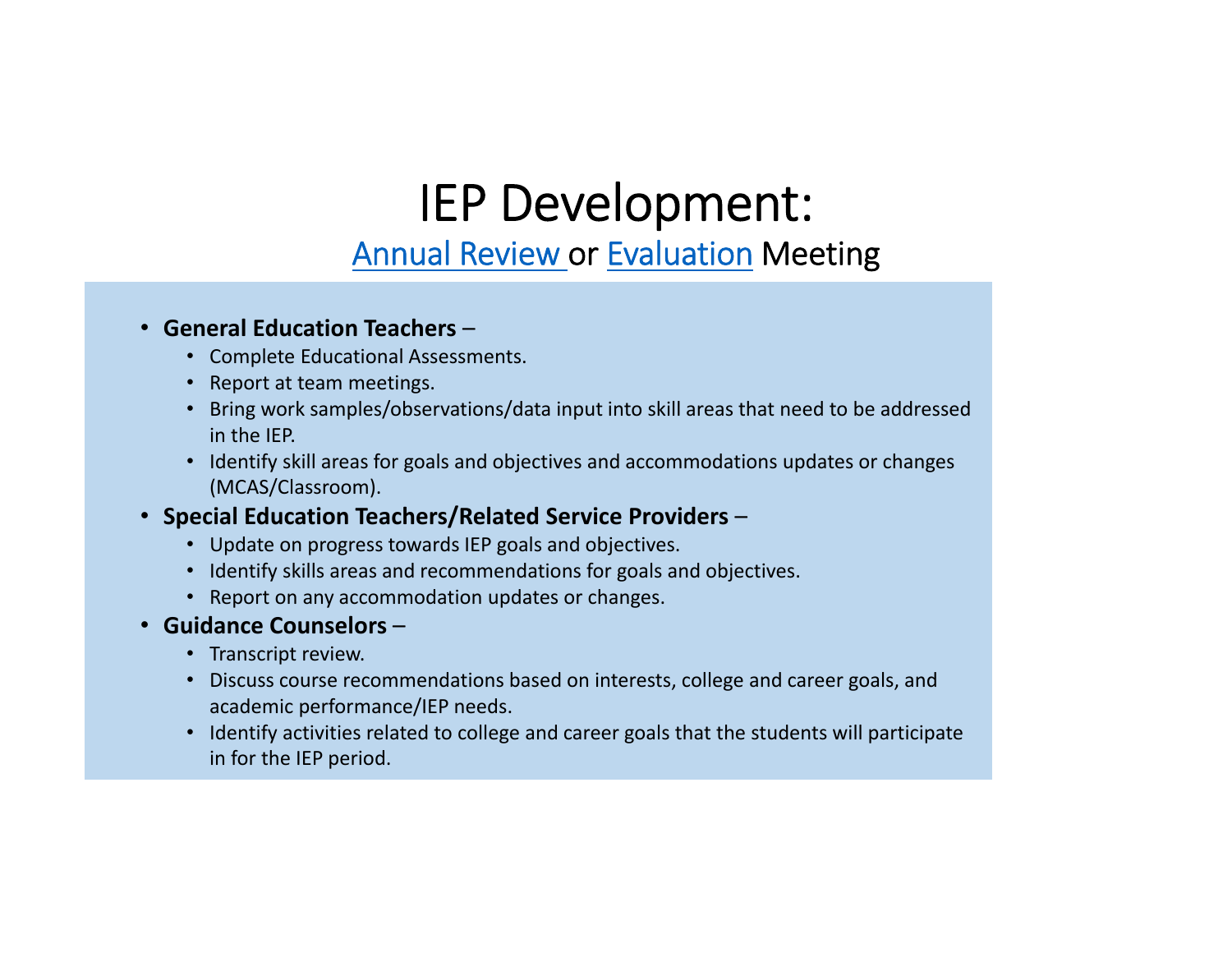# IEP Development:

### Annual Review or Evaluation Meeting

#### • **General Education Teachers** –

- Complete Educational Assessments.
- Report at team meetings.
- Bring work samples/observations/data input into skill areas that need to be addressed in the IEP.
- Identify skill areas for goals and objectives and accommodations updates or changes (MCAS/Classroom).

#### • **Special Education Teachers/Related Service Providers** –

- Update on progress towards IEP goals and objectives.
- Identify skills areas and recommendations for goals and objectives.
- Report on any accommodation updates or changes.
- **Guidance Counselors**
	- Transcript review.
	- Discuss course recommendations based on interests, college and career goals, and academic performance/IEP needs.
	- Identify activities related to college and career goals that the students will participate in for the IEP period.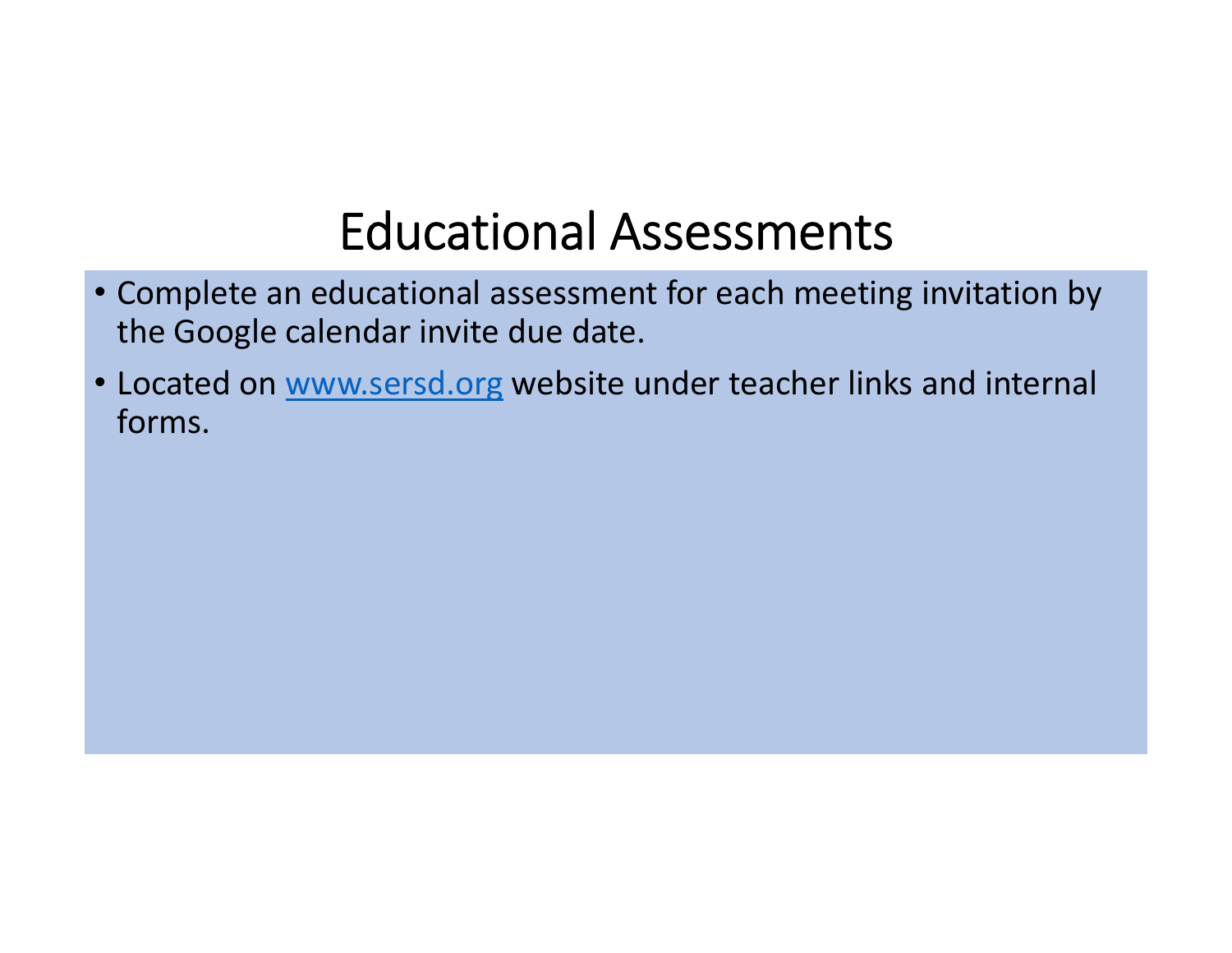# Educational Assessments

- Complete an educational assessment for each meeting invitation by the Google calendar invite due date.
- Located on www.sersd.org website under teacher links and internal forms.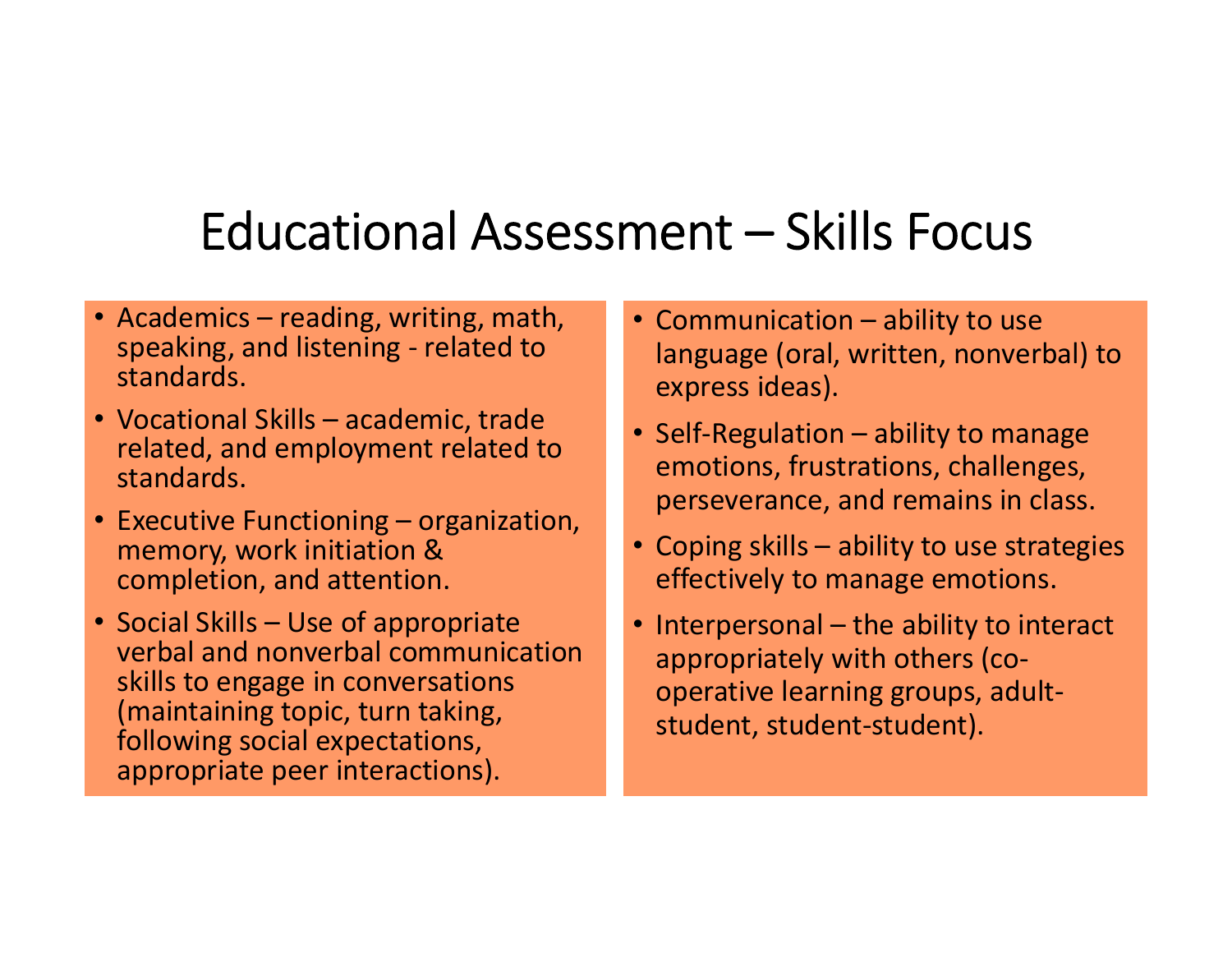# Educational Assessment – Skills Focus

- Academics reading, writing, math, speaking, and listening ‐ related to standards.
- Vocational Skills academic, trade related, and employment related to standards.
- Executive Functioning organization, memory, work initiation & completion, and attention.
- Social Skills Use of appropriate verbal and nonverbal communication skills to engage in conversations (maintaining topic, turn taking, following social expectations, appropriate peer interactions).
- Communication ability to use language (oral, written, nonverbal) to express ideas).
- Self ‐Regulation ability to manage emotions, frustrations, challenges, perseverance, and remains in class.
- Coping skills ability to use strategies effectively to manage emotions.
- • Interpersonal – the ability to interact appropriately with others (co ‐ operative learning groups, adult ‐ student, student ‐student).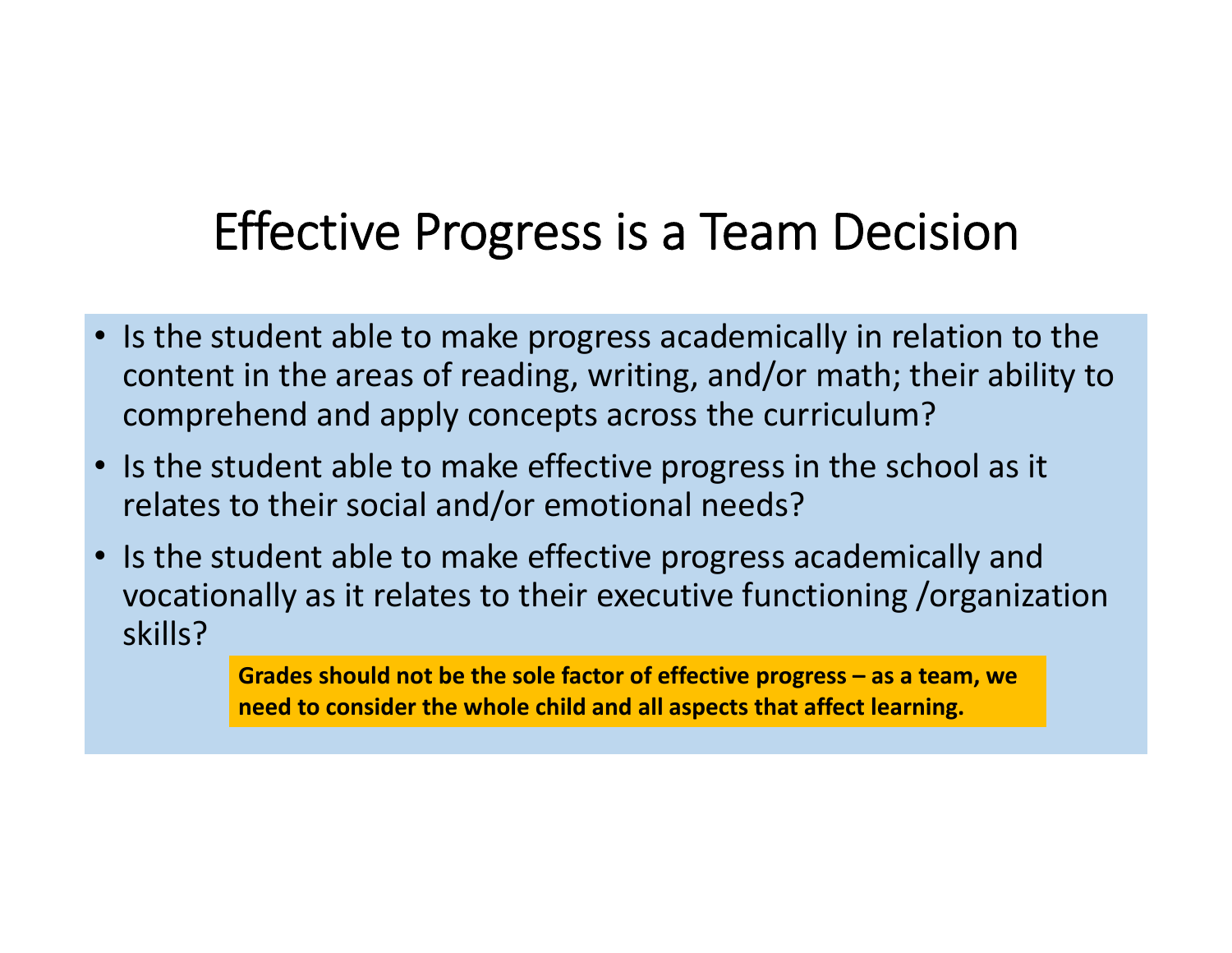# Effective Progress is <sup>a</sup> Team Decision

- Is the student able to make progress academically in relation to the content in the areas of reading, writing, and/or math; their ability to comprehend and apply concepts across the curriculum?
- Is the student able to make effective progress in the school as it relates to their social and/or emotional needs?
- Is the student able to make effective progress academically and vocationally as it relates to their executive functioning /organization skills?

**Grades should not be the sole factor of effective progress – as <sup>a</sup> team, we need to consider the whole child and all aspects that affect learning.**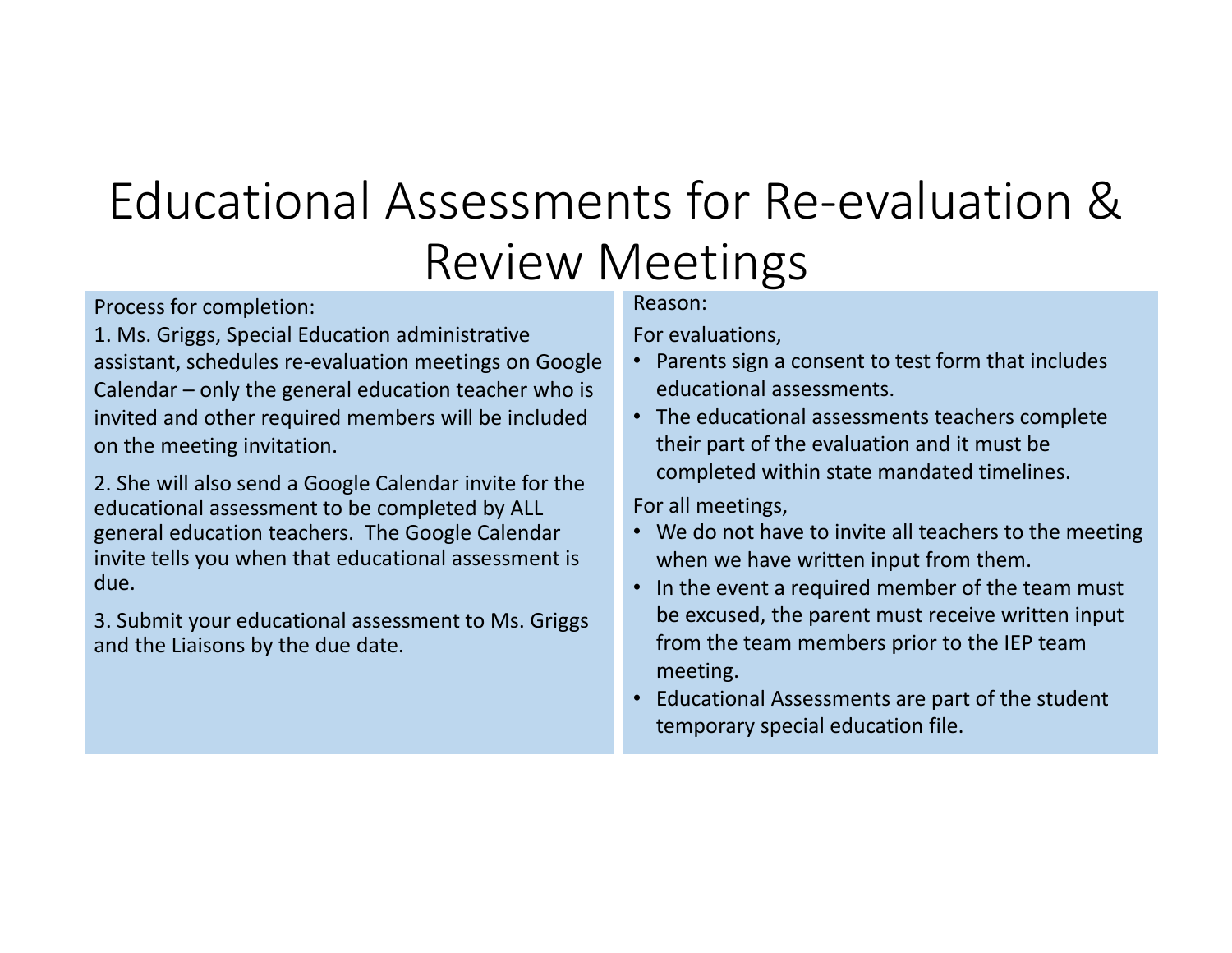# Educational Assessments for Re‐evaluation &Review Meetings

Process for completion:

1. Ms. Griggs, Special Education administrative assistant, schedules re‐evaluation meetings on Google Calendar – only the general education teacher who is invited and other required members will be included on the meeting invitation.

2. She will also send <sup>a</sup> Google Calendar invite for the educational assessment to be completed by ALL general education teachers. The Google Calendar invite tells you when that educational assessment is due.

3. Submit your educational assessment to Ms. Griggs and the Liaisons by the due date.

#### Reason:

For evaluations,

- Parents sign <sup>a</sup> consent to test form that includes educational assessments.
- The educational assessments teachers complete their part of the evaluation and it must be completed within state mandated timelines.

For all meetings,

- We do not have to invite all teachers to the meeting when we have written input from them.
- In the event <sup>a</sup> required member of the team must be excused, the parent must receive written input from the team members prior to the IEP team meeting.
- Educational Assessments are part of the student temporary special education file.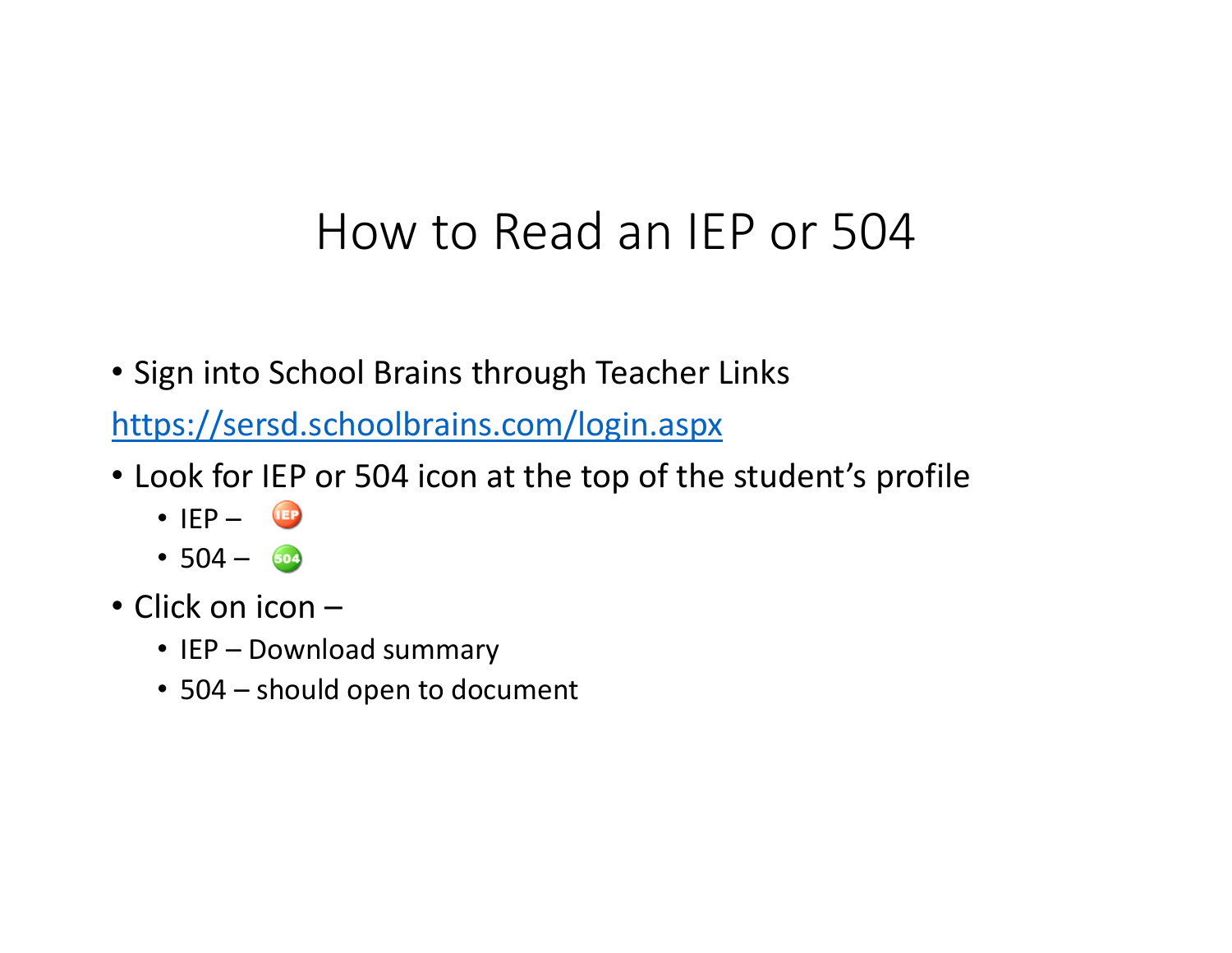# How to Read an IEP or 504

• Sign into School Brains through Teacher Links

https://sersd.schoolbrains.com/login.aspx

- Look for IEP or 504 icon at the top of the student's profile
	- IEP –
	- 504 –
- Click on icon
	- IEP Download summary
	- 504 should open to document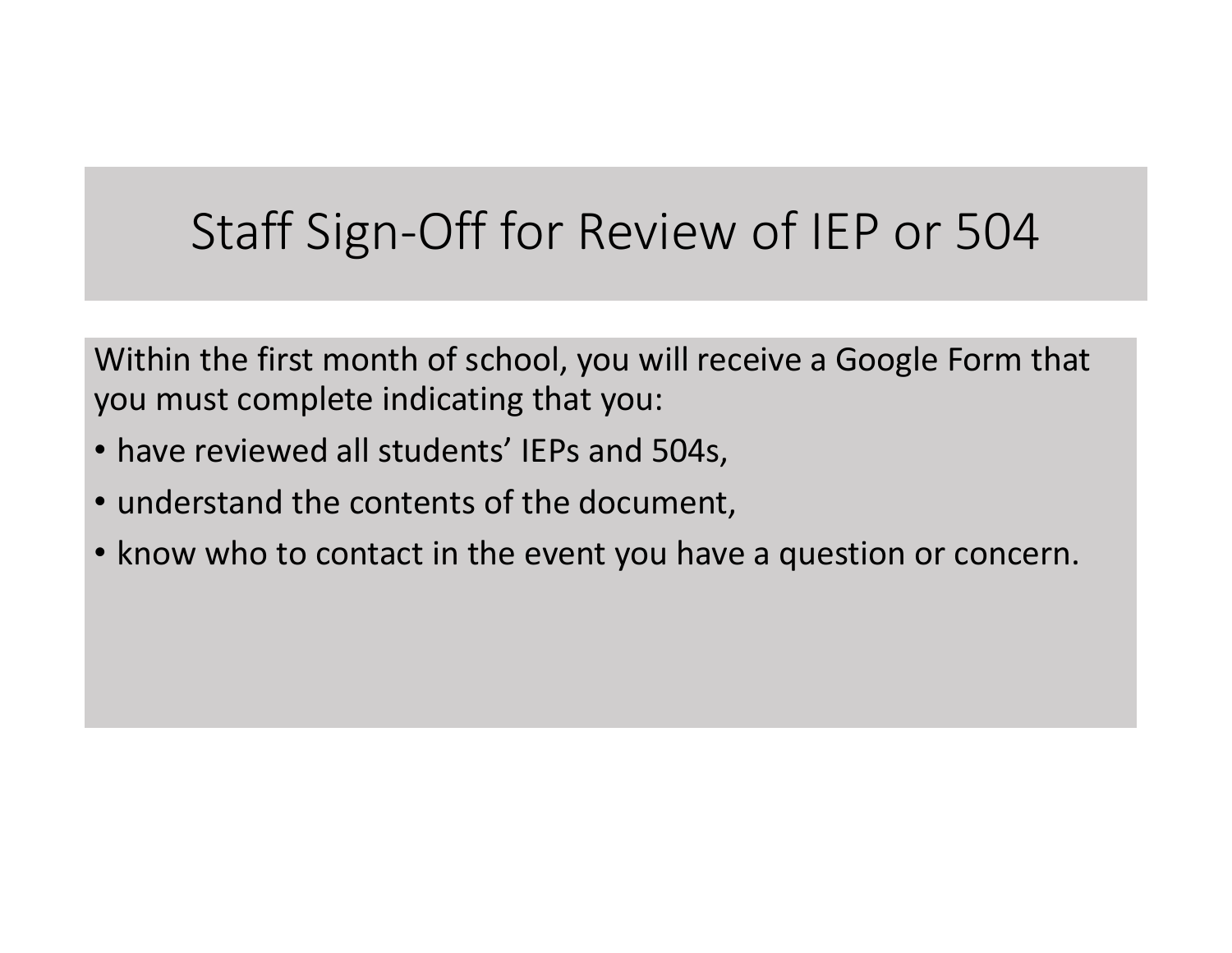# Staff Sign‐Off for Review of IEP or 504

Within the first month of school, you will receive <sup>a</sup> Google Form that you must complete indicating that you:

- have reviewed all students' IEPs and 504s,
- understand the contents of the document,
- know who to contact in the event you have <sup>a</sup> question or concern.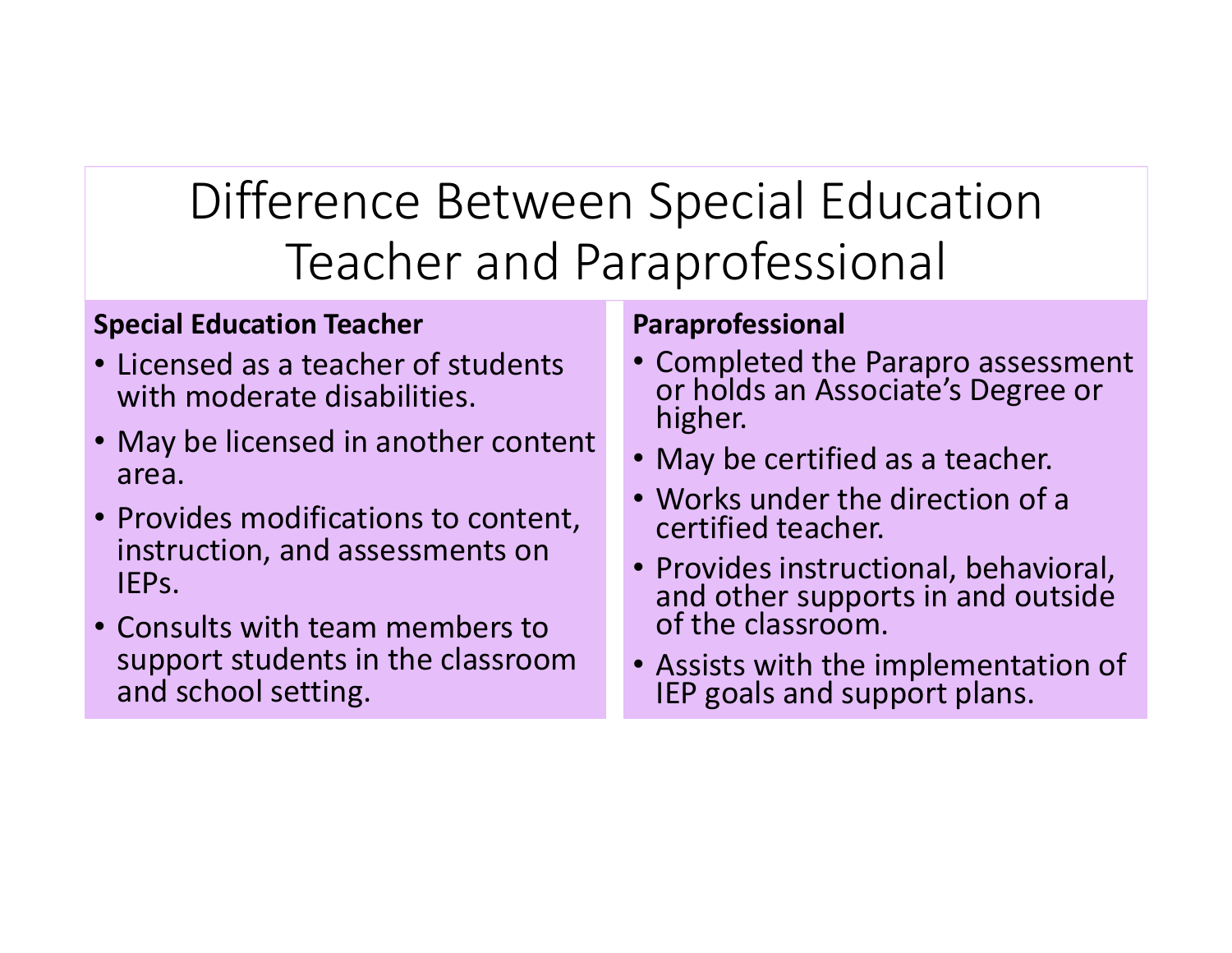# Difference Between Special Education Teacher and Paraprofessional

### **Special Education Teacher**

- Licensed as a teacher of students with moderate disabilities.
- May be licensed in another content area.
- Provides modifications to content, instruction, and assessments on IEPs.
- Consults with team members to support students in the classroom and school setting.

### **Paraprofessional**

- Completed the Parapro assessment or holds an Associate's Degree or<br>higher.
- May be certified as a teacher.
- Works under the direction of acertified teacher.
- Provides instructional, behavioral, and other supports in and outside<br>of the classroom.
- Assists with the implementation of IEP goals and support plans.